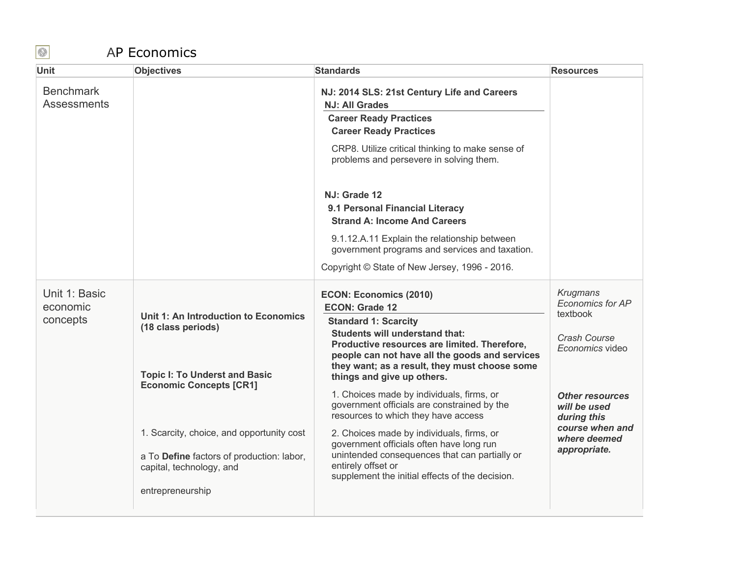## AP Economics

| <b>Benchmark</b><br>NJ: 2014 SLS: 21st Century Life and Careers<br><b>Assessments</b><br><b>NJ: All Grades</b><br><b>Career Ready Practices</b><br><b>Career Ready Practices</b><br>CRP8. Utilize critical thinking to make sense of<br>problems and persevere in solving them.<br>NJ: Grade 12<br>9.1 Personal Financial Literacy<br><b>Strand A: Income And Careers</b><br>9.1.12.A.11 Explain the relationship between<br>government programs and services and taxation.<br>Copyright © State of New Jersey, 1996 - 2016.<br><b>Krugmans</b><br>Unit 1: Basic<br><b>ECON: Economics (2010)</b><br>Economics for AP<br>economic<br><b>ECON: Grade 12</b><br>textbook<br>Unit 1: An Introduction to Economics<br>concepts<br><b>Standard 1: Scarcity</b><br>(18 class periods)<br><b>Students will understand that:</b><br>Crash Course<br>Productive resources are limited. Therefore,<br>Economics video<br>people can not have all the goods and services<br>they want; as a result, they must choose some<br><b>Topic I: To Underst and Basic</b><br>things and give up others. |
|--------------------------------------------------------------------------------------------------------------------------------------------------------------------------------------------------------------------------------------------------------------------------------------------------------------------------------------------------------------------------------------------------------------------------------------------------------------------------------------------------------------------------------------------------------------------------------------------------------------------------------------------------------------------------------------------------------------------------------------------------------------------------------------------------------------------------------------------------------------------------------------------------------------------------------------------------------------------------------------------------------------------------------------------------------------------------------------|
|                                                                                                                                                                                                                                                                                                                                                                                                                                                                                                                                                                                                                                                                                                                                                                                                                                                                                                                                                                                                                                                                                      |
|                                                                                                                                                                                                                                                                                                                                                                                                                                                                                                                                                                                                                                                                                                                                                                                                                                                                                                                                                                                                                                                                                      |
|                                                                                                                                                                                                                                                                                                                                                                                                                                                                                                                                                                                                                                                                                                                                                                                                                                                                                                                                                                                                                                                                                      |
|                                                                                                                                                                                                                                                                                                                                                                                                                                                                                                                                                                                                                                                                                                                                                                                                                                                                                                                                                                                                                                                                                      |
|                                                                                                                                                                                                                                                                                                                                                                                                                                                                                                                                                                                                                                                                                                                                                                                                                                                                                                                                                                                                                                                                                      |
|                                                                                                                                                                                                                                                                                                                                                                                                                                                                                                                                                                                                                                                                                                                                                                                                                                                                                                                                                                                                                                                                                      |
|                                                                                                                                                                                                                                                                                                                                                                                                                                                                                                                                                                                                                                                                                                                                                                                                                                                                                                                                                                                                                                                                                      |
|                                                                                                                                                                                                                                                                                                                                                                                                                                                                                                                                                                                                                                                                                                                                                                                                                                                                                                                                                                                                                                                                                      |
|                                                                                                                                                                                                                                                                                                                                                                                                                                                                                                                                                                                                                                                                                                                                                                                                                                                                                                                                                                                                                                                                                      |
|                                                                                                                                                                                                                                                                                                                                                                                                                                                                                                                                                                                                                                                                                                                                                                                                                                                                                                                                                                                                                                                                                      |
|                                                                                                                                                                                                                                                                                                                                                                                                                                                                                                                                                                                                                                                                                                                                                                                                                                                                                                                                                                                                                                                                                      |
| <b>Economic Concepts [CR1]</b><br>1. Choices made by individuals, firms, or<br><b>Other resources</b><br>government officials are constrained by the<br>will be used<br>resources to which they have access<br>during this                                                                                                                                                                                                                                                                                                                                                                                                                                                                                                                                                                                                                                                                                                                                                                                                                                                           |
| course when and<br>1. Scarcity, choice, and opportunity cost<br>2. Choices made by individuals, firms, or<br>where deemed<br>government officials often have long run<br>appropriate.<br>unintended consequences that can partially or<br>a To Define factors of production: labor,                                                                                                                                                                                                                                                                                                                                                                                                                                                                                                                                                                                                                                                                                                                                                                                                  |
| entirely offset or<br>capital, technology, and<br>supplement the initial effects of the decision.                                                                                                                                                                                                                                                                                                                                                                                                                                                                                                                                                                                                                                                                                                                                                                                                                                                                                                                                                                                    |
| entrepreneurship                                                                                                                                                                                                                                                                                                                                                                                                                                                                                                                                                                                                                                                                                                                                                                                                                                                                                                                                                                                                                                                                     |

 $\bigcirc$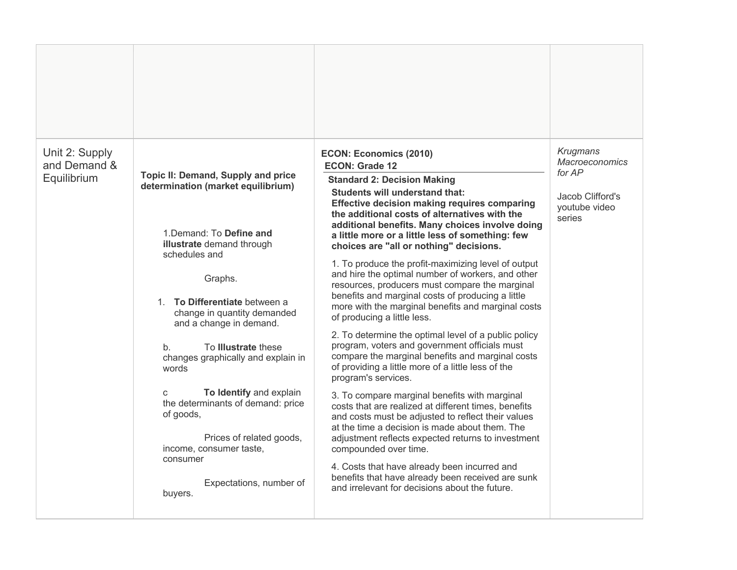| Unit 2: Supply<br>and Demand &<br>Equilibrium | Topic II: Demand, Supply and price<br>determination (market equilibrium)<br>1. Demand: To Define and<br>illustrate demand through<br>schedules and<br>Graphs.<br>To Differentiate between a<br>$1_{-}$<br>change in quantity demanded<br>and a change in demand.<br>To <b>Illustrate</b> these<br>$b_{\cdot}$<br>changes graphically and explain in<br>words<br>To Identify and explain<br>$\mathbf{C}$<br>the determinants of demand: price<br>of goods,<br>Prices of related goods,<br>income, consumer taste,<br>consumer<br>Expectations, number of<br>buyers. | <b>ECON: Economics (2010)</b><br><b>ECON: Grade 12</b><br><b>Standard 2: Decision Making</b><br><b>Students will understand that:</b><br>Effective decision making requires comparing<br>the additional costs of alternatives with the<br>additional benefits. Many choices involve doing<br>a little more or a little less of something: few<br>choices are "all or nothing" decisions.<br>1. To produce the profit-maximizing level of output<br>and hire the optimal number of workers, and other<br>resources, producers must compare the marginal<br>benefits and marginal costs of producing a little<br>more with the marginal benefits and marginal costs<br>of producing a little less.<br>2. To determine the optimal level of a public policy<br>program, voters and government officials must<br>compare the marginal benefits and marginal costs<br>of providing a little more of a little less of the<br>program's services.<br>3. To compare marginal benefits with marginal<br>costs that are realized at different times, benefits<br>and costs must be adjusted to reflect their values<br>at the time a decision is made about them. The<br>adjustment reflects expected returns to investment<br>compounded over time.<br>4. Costs that have already been incurred and<br>benefits that have already been received are sunk<br>and irrelevant for decisions about the future. | Krugmans<br><b>Macroeconomics</b><br>for AP<br>Jacob Clifford's<br>youtube video<br>series |
|-----------------------------------------------|--------------------------------------------------------------------------------------------------------------------------------------------------------------------------------------------------------------------------------------------------------------------------------------------------------------------------------------------------------------------------------------------------------------------------------------------------------------------------------------------------------------------------------------------------------------------|---------------------------------------------------------------------------------------------------------------------------------------------------------------------------------------------------------------------------------------------------------------------------------------------------------------------------------------------------------------------------------------------------------------------------------------------------------------------------------------------------------------------------------------------------------------------------------------------------------------------------------------------------------------------------------------------------------------------------------------------------------------------------------------------------------------------------------------------------------------------------------------------------------------------------------------------------------------------------------------------------------------------------------------------------------------------------------------------------------------------------------------------------------------------------------------------------------------------------------------------------------------------------------------------------------------------------------------------------------------------------------------------------|--------------------------------------------------------------------------------------------|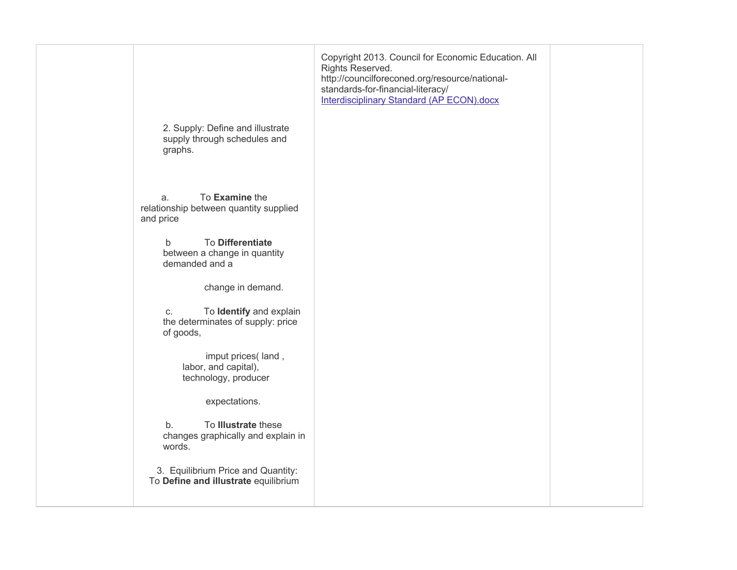| 2. Supply: Define and illustrate<br>supply through schedules and<br>graphs.                                                                                                                                                                                                                            | Copyright 2013. Council for Economic Education. All<br>Rights Reserved.<br>http://councilforeconed.org/resource/national-<br>standards-for-financial-literacy/<br><b>Interdisciplinary Standard (AP ECON).docx</b> |  |
|--------------------------------------------------------------------------------------------------------------------------------------------------------------------------------------------------------------------------------------------------------------------------------------------------------|--------------------------------------------------------------------------------------------------------------------------------------------------------------------------------------------------------------------|--|
| To Examine the<br>a.<br>relationship between quantity supplied<br>and price<br><b>To Differentiate</b><br>$\mathsf{b}$<br>between a change in quantity<br>demanded and a<br>change in demand.<br>To Identify and explain<br>C.<br>the determinates of supply: price<br>of goods,<br>imput prices(land, |                                                                                                                                                                                                                    |  |
| labor, and capital),<br>technology, producer<br>expectations.<br>To Illustrate these<br>b.<br>changes graphically and explain in<br>words.<br>3. Equilibrium Price and Quantity:<br>To Define and illustrate equilibrium                                                                               |                                                                                                                                                                                                                    |  |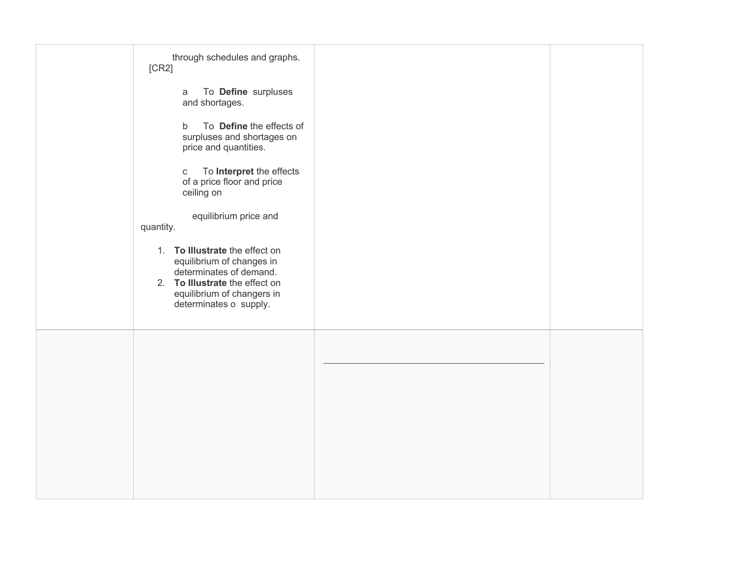| [CR2]     | through schedules and graphs.<br>To Define surpluses<br>a                                                                                                                        |  |
|-----------|----------------------------------------------------------------------------------------------------------------------------------------------------------------------------------|--|
|           | and shortages.<br>To Define the effects of<br>$\mathsf{b}$<br>surpluses and shortages on<br>price and quantities.                                                                |  |
|           | To Interpret the effects<br>$\mathbf C$<br>of a price floor and price<br>ceiling on                                                                                              |  |
| quantity. | equilibrium price and                                                                                                                                                            |  |
|           | 1. To Illustrate the effect on<br>equilibrium of changes in<br>determinates of demand.<br>2. To Illustrate the effect on<br>equilibrium of changers in<br>determinates o supply. |  |
|           |                                                                                                                                                                                  |  |
|           |                                                                                                                                                                                  |  |
|           |                                                                                                                                                                                  |  |
|           |                                                                                                                                                                                  |  |
|           |                                                                                                                                                                                  |  |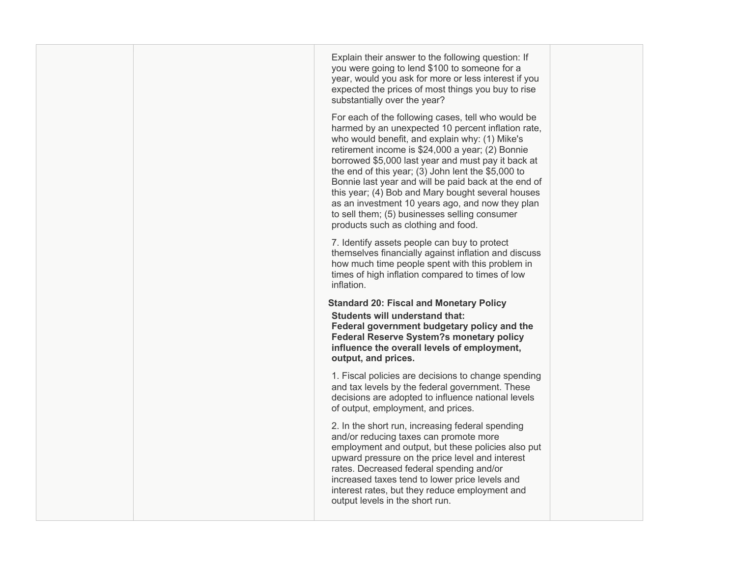|  | Explain their answer to the following question: If<br>you were going to lend \$100 to someone for a<br>year, would you ask for more or less interest if you<br>expected the prices of most things you buy to rise<br>substantially over the year?<br>For each of the following cases, tell who would be<br>harmed by an unexpected 10 percent inflation rate,<br>who would benefit, and explain why: (1) Mike's<br>retirement income is \$24,000 a year; (2) Bonnie<br>borrowed \$5,000 last year and must pay it back at<br>the end of this year; (3) John lent the \$5,000 to<br>Bonnie last year and will be paid back at the end of<br>this year; (4) Bob and Mary bought several houses<br>as an investment 10 years ago, and now they plan<br>to sell them; (5) businesses selling consumer<br>products such as clothing and food. |  |
|--|------------------------------------------------------------------------------------------------------------------------------------------------------------------------------------------------------------------------------------------------------------------------------------------------------------------------------------------------------------------------------------------------------------------------------------------------------------------------------------------------------------------------------------------------------------------------------------------------------------------------------------------------------------------------------------------------------------------------------------------------------------------------------------------------------------------------------------------|--|
|  | 7. Identify assets people can buy to protect<br>themselves financially against inflation and discuss<br>how much time people spent with this problem in<br>times of high inflation compared to times of low<br>inflation.                                                                                                                                                                                                                                                                                                                                                                                                                                                                                                                                                                                                                |  |
|  | <b>Standard 20: Fiscal and Monetary Policy</b><br><b>Students will understand that:</b><br>Federal government budgetary policy and the<br><b>Federal Reserve System?s monetary policy</b><br>influence the overall levels of employment,<br>output, and prices.                                                                                                                                                                                                                                                                                                                                                                                                                                                                                                                                                                          |  |
|  | 1. Fiscal policies are decisions to change spending<br>and tax levels by the federal government. These<br>decisions are adopted to influence national levels<br>of output, employment, and prices.                                                                                                                                                                                                                                                                                                                                                                                                                                                                                                                                                                                                                                       |  |
|  | 2. In the short run, increasing federal spending<br>and/or reducing taxes can promote more<br>employment and output, but these policies also put<br>upward pressure on the price level and interest<br>rates. Decreased federal spending and/or<br>increased taxes tend to lower price levels and<br>interest rates, but they reduce employment and<br>output levels in the short run.                                                                                                                                                                                                                                                                                                                                                                                                                                                   |  |
|  |                                                                                                                                                                                                                                                                                                                                                                                                                                                                                                                                                                                                                                                                                                                                                                                                                                          |  |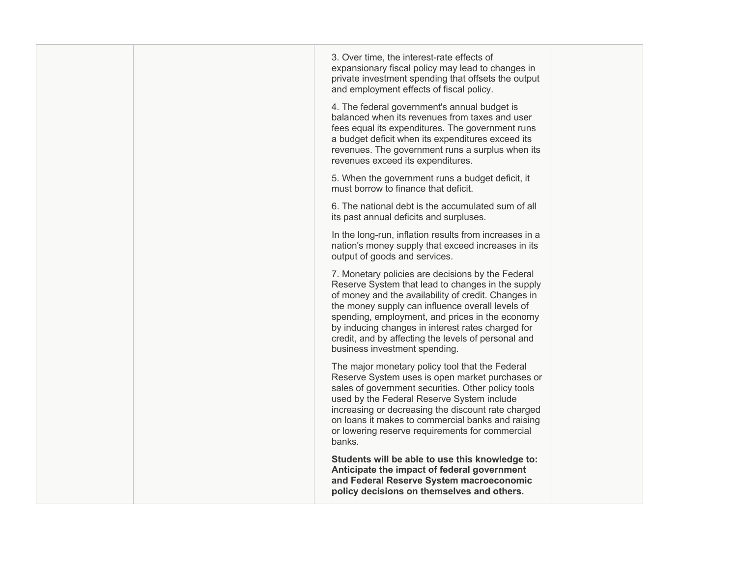|  | 3. Over time, the interest-rate effects of<br>expansionary fiscal policy may lead to changes in<br>private investment spending that offsets the output<br>and employment effects of fiscal policy.                                                                                                                                                                                                                |  |
|--|-------------------------------------------------------------------------------------------------------------------------------------------------------------------------------------------------------------------------------------------------------------------------------------------------------------------------------------------------------------------------------------------------------------------|--|
|  | 4. The federal government's annual budget is<br>balanced when its revenues from taxes and user<br>fees equal its expenditures. The government runs<br>a budget deficit when its expenditures exceed its<br>revenues. The government runs a surplus when its<br>revenues exceed its expenditures.                                                                                                                  |  |
|  | 5. When the government runs a budget deficit, it<br>must borrow to finance that deficit.                                                                                                                                                                                                                                                                                                                          |  |
|  | 6. The national debt is the accumulated sum of all<br>its past annual deficits and surpluses.                                                                                                                                                                                                                                                                                                                     |  |
|  | In the long-run, inflation results from increases in a<br>nation's money supply that exceed increases in its<br>output of goods and services.                                                                                                                                                                                                                                                                     |  |
|  | 7. Monetary policies are decisions by the Federal<br>Reserve System that lead to changes in the supply<br>of money and the availability of credit. Changes in<br>the money supply can influence overall levels of<br>spending, employment, and prices in the economy<br>by inducing changes in interest rates charged for<br>credit, and by affecting the levels of personal and<br>business investment spending. |  |
|  | The major monetary policy tool that the Federal<br>Reserve System uses is open market purchases or<br>sales of government securities. Other policy tools<br>used by the Federal Reserve System include<br>increasing or decreasing the discount rate charged<br>on loans it makes to commercial banks and raising<br>or lowering reserve requirements for commercial<br>banks.                                    |  |
|  | Students will be able to use this knowledge to:<br>Anticipate the impact of federal government<br>and Federal Reserve System macroeconomic<br>policy decisions on themselves and others.                                                                                                                                                                                                                          |  |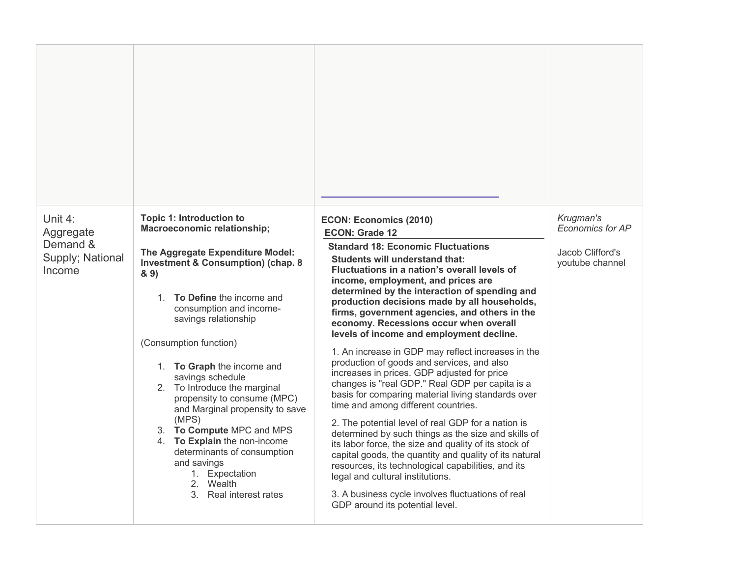| Unit 4:<br>Aggregate<br>Demand &<br>Supply; National<br>Income | <b>Topic 1: Introduction to</b><br><b>Macroeconomic relationship;</b><br>The Aggregate Expenditure Model:<br><b>Investment &amp; Consumption) (chap. 8</b><br>8.9<br>1. <b>To Define</b> the income and<br>consumption and income-<br>savings relationship<br>(Consumption function)<br>1. To Graph the income and<br>savings schedule<br>2. To Introduce the marginal<br>propensity to consume (MPC)<br>and Marginal propensity to save<br>(MPS)<br>3. To Compute MPC and MPS<br>4. To Explain the non-income<br>determinants of consumption<br>and savings<br>1. Expectation<br>2. Wealth<br>3. Real interest rates | <b>ECON: Economics (2010)</b><br><b>ECON: Grade 12</b><br><b>Standard 18: Economic Fluctuations</b><br>Students will understand that:<br>Fluctuations in a nation's overall levels of<br>income, employment, and prices are<br>determined by the interaction of spending and<br>production decisions made by all households,<br>firms, government agencies, and others in the<br>economy. Recessions occur when overall<br>levels of income and employment decline.<br>1. An increase in GDP may reflect increases in the<br>production of goods and services, and also<br>increases in prices. GDP adjusted for price<br>changes is "real GDP." Real GDP per capita is a<br>basis for comparing material living standards over<br>time and among different countries.<br>2. The potential level of real GDP for a nation is<br>determined by such things as the size and skills of<br>its labor force, the size and quality of its stock of<br>capital goods, the quantity and quality of its natural<br>resources, its technological capabilities, and its<br>legal and cultural institutions.<br>3. A business cycle involves fluctuations of real<br>GDP around its potential level. | Krugman's<br>Economics for AP<br>Jacob Clifford's<br>youtube channel |
|----------------------------------------------------------------|-----------------------------------------------------------------------------------------------------------------------------------------------------------------------------------------------------------------------------------------------------------------------------------------------------------------------------------------------------------------------------------------------------------------------------------------------------------------------------------------------------------------------------------------------------------------------------------------------------------------------|------------------------------------------------------------------------------------------------------------------------------------------------------------------------------------------------------------------------------------------------------------------------------------------------------------------------------------------------------------------------------------------------------------------------------------------------------------------------------------------------------------------------------------------------------------------------------------------------------------------------------------------------------------------------------------------------------------------------------------------------------------------------------------------------------------------------------------------------------------------------------------------------------------------------------------------------------------------------------------------------------------------------------------------------------------------------------------------------------------------------------------------------------------------------------------------|----------------------------------------------------------------------|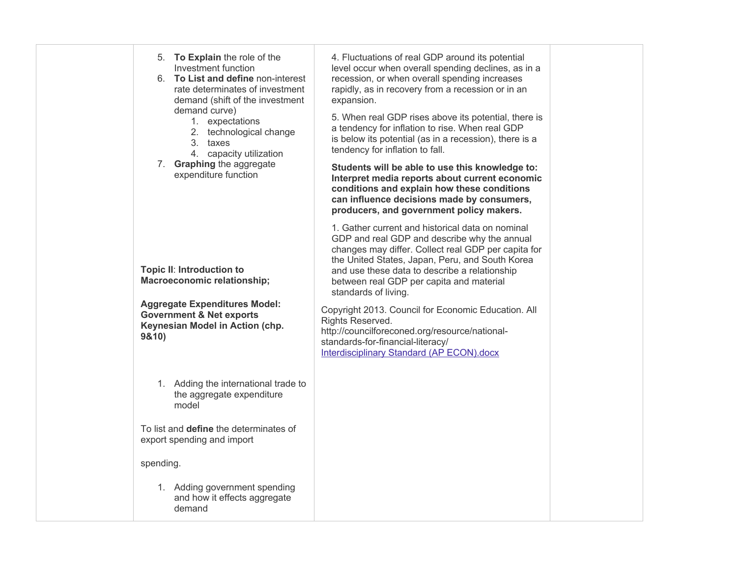| 5. To Explain the role of the<br>Investment function<br>6. To List and define non-interest<br>rate determinates of investment<br>demand (shift of the investment<br>demand curve)<br>1. expectations<br>2. technological change<br>3. taxes<br>4. capacity utilization<br>7. Graphing the aggregate<br>expenditure function | 4. Fluctuations of real GDP around its potential<br>level occur when overall spending declines, as in a<br>recession, or when overall spending increases<br>rapidly, as in recovery from a recession or in an<br>expansion.<br>5. When real GDP rises above its potential, there is<br>a tendency for inflation to rise. When real GDP<br>is below its potential (as in a recession), there is a<br>tendency for inflation to fall.<br>Students will be able to use this knowledge to:<br>Interpret media reports about current economic<br>conditions and explain how these conditions<br>can influence decisions made by consumers,<br>producers, and government policy makers. |  |
|-----------------------------------------------------------------------------------------------------------------------------------------------------------------------------------------------------------------------------------------------------------------------------------------------------------------------------|-----------------------------------------------------------------------------------------------------------------------------------------------------------------------------------------------------------------------------------------------------------------------------------------------------------------------------------------------------------------------------------------------------------------------------------------------------------------------------------------------------------------------------------------------------------------------------------------------------------------------------------------------------------------------------------|--|
| Topic II: Introduction to<br><b>Macroeconomic relationship;</b><br><b>Aggregate Expenditures Model:</b><br><b>Government &amp; Net exports</b><br>Keynesian Model in Action (chp.<br>9&10)                                                                                                                                  | 1. Gather current and historical data on nominal<br>GDP and real GDP and describe why the annual<br>changes may differ. Collect real GDP per capita for<br>the United States, Japan, Peru, and South Korea<br>and use these data to describe a relationship<br>between real GDP per capita and material<br>standards of living.<br>Copyright 2013. Council for Economic Education. All<br>Rights Reserved.<br>http://councilforeconed.org/resource/national-<br>standards-for-financial-literacy/<br><b>Interdisciplinary Standard (AP ECON).docx</b>                                                                                                                             |  |
| 1. Adding the international trade to<br>the aggregate expenditure<br>model<br>To list and <b>define</b> the determinates of<br>export spending and import                                                                                                                                                                   |                                                                                                                                                                                                                                                                                                                                                                                                                                                                                                                                                                                                                                                                                   |  |
| spending.<br>1. Adding government spending<br>and how it effects aggregate<br>demand                                                                                                                                                                                                                                        |                                                                                                                                                                                                                                                                                                                                                                                                                                                                                                                                                                                                                                                                                   |  |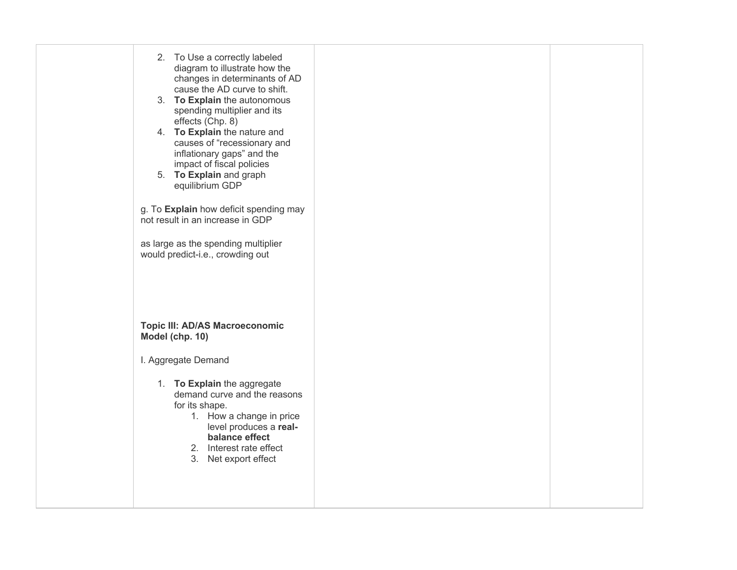| 2. To Use a correctly labeled<br>diagram to illustrate how the<br>changes in determinants of AD<br>cause the AD curve to shift.<br>3. To Explain the autonomous<br>spending multiplier and its<br>effects (Chp. 8)<br>4. To Explain the nature and<br>causes of "recessionary and<br>inflationary gaps" and the<br>impact of fiscal policies<br>5. To Explain and graph<br>equilibrium GDP<br>g. To Explain how deficit spending may<br>not result in an increase in GDP<br>as large as the spending multiplier<br>would predict-i.e., crowding out |  |
|-----------------------------------------------------------------------------------------------------------------------------------------------------------------------------------------------------------------------------------------------------------------------------------------------------------------------------------------------------------------------------------------------------------------------------------------------------------------------------------------------------------------------------------------------------|--|
| <b>Topic III: AD/AS Macroeconomic</b><br>Model (chp. 10)                                                                                                                                                                                                                                                                                                                                                                                                                                                                                            |  |
| I. Aggregate Demand                                                                                                                                                                                                                                                                                                                                                                                                                                                                                                                                 |  |
| 1. To Explain the aggregate<br>demand curve and the reasons<br>for its shape.<br>1. How a change in price<br>level produces a real-<br>balance effect<br>2. Interest rate effect<br>3. Net export effect                                                                                                                                                                                                                                                                                                                                            |  |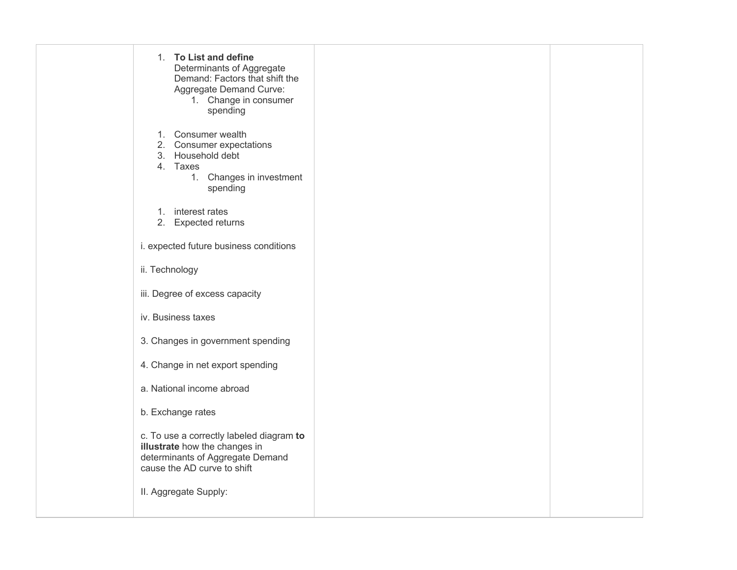| 1. To List and define<br>Determinants of Aggregate<br>Demand: Factors that shift the<br>Aggregate Demand Curve:<br>1. Change in consumer<br>spending                  |  |
|-----------------------------------------------------------------------------------------------------------------------------------------------------------------------|--|
| 1. Consumer wealth<br>2. Consumer expectations<br>3. Household debt<br>4. Taxes<br>1. Changes in investment<br>spending                                               |  |
| 1. interest rates<br>2. Expected returns                                                                                                                              |  |
| i. expected future business conditions                                                                                                                                |  |
| ii. Technology                                                                                                                                                        |  |
| iii. Degree of excess capacity                                                                                                                                        |  |
| iv. Business taxes                                                                                                                                                    |  |
| 3. Changes in government spending                                                                                                                                     |  |
| 4. Change in net export spending                                                                                                                                      |  |
| a. National income abroad                                                                                                                                             |  |
| b. Exchange rates                                                                                                                                                     |  |
| c. To use a correctly labeled diagram to<br>illustrate how the changes in<br>determinants of Aggregate Demand<br>cause the AD curve to shift<br>II. Aggregate Supply: |  |
|                                                                                                                                                                       |  |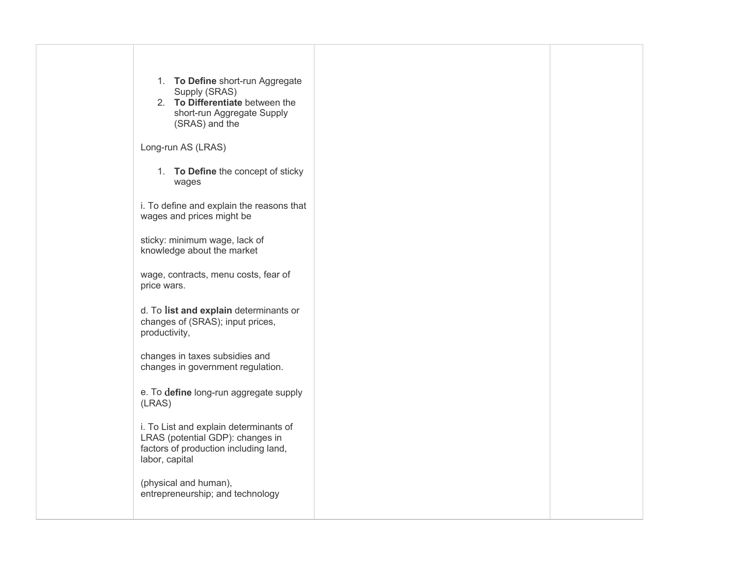| 1. To Define short-run Aggregate<br>Supply (SRAS)<br>2. To Differentiate between the<br>short-run Aggregate Supply<br>(SRAS) and the  |  |
|---------------------------------------------------------------------------------------------------------------------------------------|--|
| Long-run AS (LRAS)                                                                                                                    |  |
| 1. To Define the concept of sticky<br>wages                                                                                           |  |
| i. To define and explain the reasons that<br>wages and prices might be                                                                |  |
| sticky: minimum wage, lack of<br>knowledge about the market                                                                           |  |
| wage, contracts, menu costs, fear of<br>price wars.                                                                                   |  |
| d. To list and explain determinants or<br>changes of (SRAS); input prices,<br>productivity,                                           |  |
| changes in taxes subsidies and<br>changes in government regulation.                                                                   |  |
| e. To define long-run aggregate supply<br>(LRAS)                                                                                      |  |
| i. To List and explain determinants of<br>LRAS (potential GDP): changes in<br>factors of production including land,<br>labor, capital |  |
| (physical and human),<br>entrepreneurship; and technology                                                                             |  |
|                                                                                                                                       |  |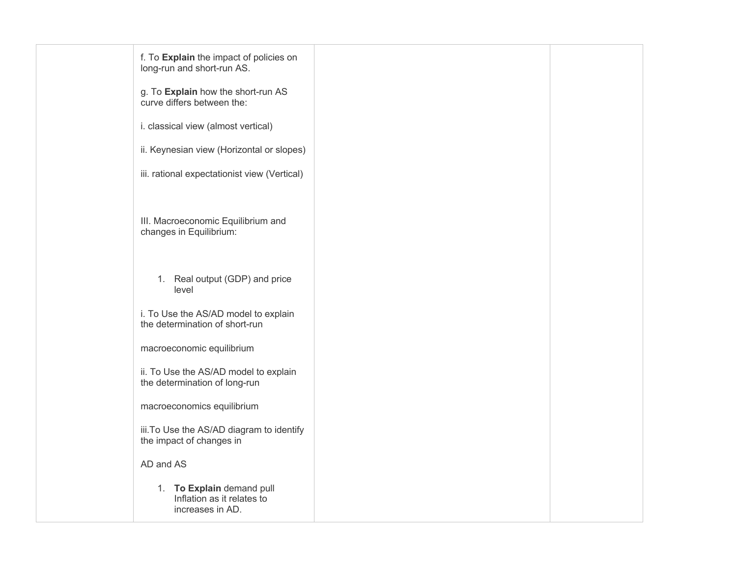| f. To Explain the impact of policies on<br>long-run and short-run AS.       |  |
|-----------------------------------------------------------------------------|--|
| g. To Explain how the short-run AS<br>curve differs between the:            |  |
| i. classical view (almost vertical)                                         |  |
| ii. Keynesian view (Horizontal or slopes)                                   |  |
| iii. rational expectationist view (Vertical)                                |  |
|                                                                             |  |
| III. Macroeconomic Equilibrium and<br>changes in Equilibrium:               |  |
|                                                                             |  |
| 1. Real output (GDP) and price<br>level                                     |  |
| i. To Use the AS/AD model to explain<br>the determination of short-run      |  |
| macroeconomic equilibrium                                                   |  |
| ii. To Use the AS/AD model to explain<br>the determination of long-run      |  |
| macroeconomics equilibrium                                                  |  |
| iii. To Use the AS/AD diagram to identify<br>the impact of changes in       |  |
| AD and AS                                                                   |  |
| 1. To Explain demand pull<br>Inflation as it relates to<br>increases in AD. |  |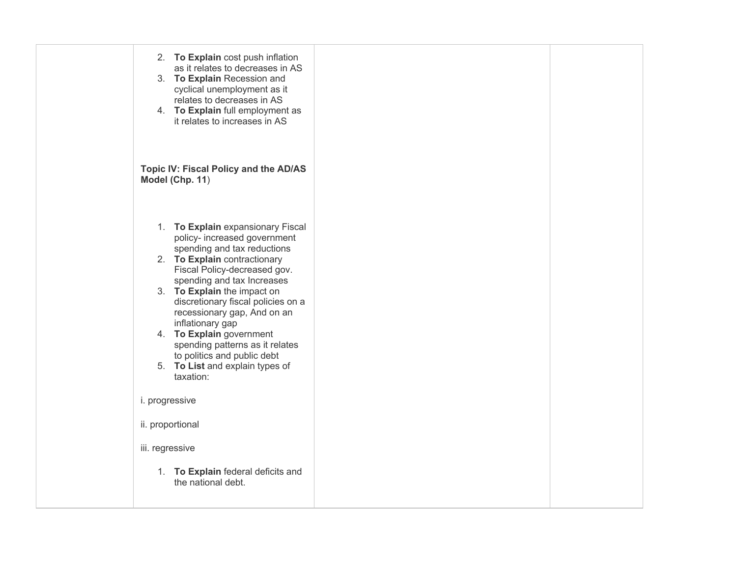| 2. To Explain cost push inflation<br>as it relates to decreases in AS<br>3. To Explain Recession and<br>cyclical unemployment as it<br>relates to decreases in AS<br>4. To Explain full employment as<br>it relates to increases in AS                                                                                                                                                                                                                               |  |
|----------------------------------------------------------------------------------------------------------------------------------------------------------------------------------------------------------------------------------------------------------------------------------------------------------------------------------------------------------------------------------------------------------------------------------------------------------------------|--|
| Topic IV: Fiscal Policy and the AD/AS<br>Model (Chp. 11)                                                                                                                                                                                                                                                                                                                                                                                                             |  |
| 1. To Explain expansionary Fiscal<br>policy- increased government<br>spending and tax reductions<br>2. To Explain contractionary<br>Fiscal Policy-decreased gov.<br>spending and tax Increases<br>3. To Explain the impact on<br>discretionary fiscal policies on a<br>recessionary gap, And on an<br>inflationary gap<br>4. To Explain government<br>spending patterns as it relates<br>to politics and public debt<br>5. To List and explain types of<br>taxation: |  |
| i. progressive                                                                                                                                                                                                                                                                                                                                                                                                                                                       |  |
| ii. proportional                                                                                                                                                                                                                                                                                                                                                                                                                                                     |  |
| iii. regressive                                                                                                                                                                                                                                                                                                                                                                                                                                                      |  |
| 1. To Explain federal deficits and<br>the national debt.                                                                                                                                                                                                                                                                                                                                                                                                             |  |
|                                                                                                                                                                                                                                                                                                                                                                                                                                                                      |  |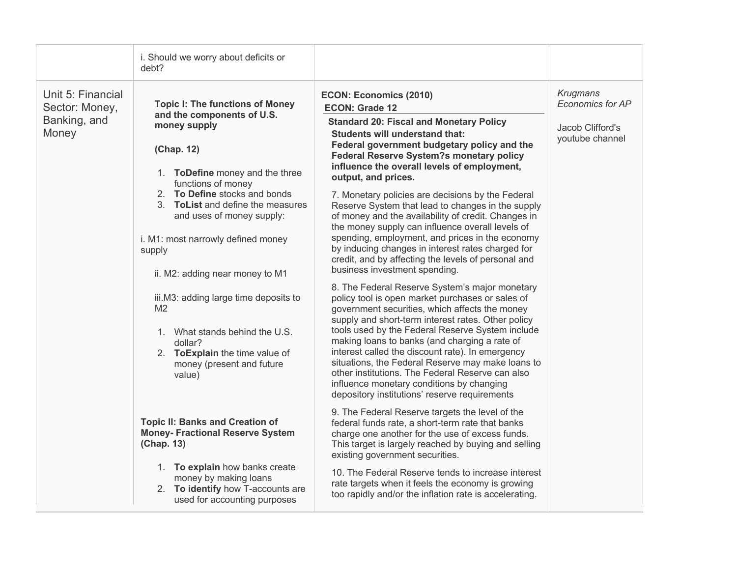|                                                              | i. Should we worry about deficits or<br>debt?                                                                                                                                                                                                                                                                                                                                                                                                                                                                                                                                                                                                                                                                                                                         |                                                                                                                                                                                                                                                                                                                                                                                                                                                                                                                                                                                                                                                                                                                                                                                                                                                                                                                                                                                                                                                                                                                                                                                                                                                                                                                                                                                                                                                                                                                                                                                                                                                                                                                                                 |                                                                     |
|--------------------------------------------------------------|-----------------------------------------------------------------------------------------------------------------------------------------------------------------------------------------------------------------------------------------------------------------------------------------------------------------------------------------------------------------------------------------------------------------------------------------------------------------------------------------------------------------------------------------------------------------------------------------------------------------------------------------------------------------------------------------------------------------------------------------------------------------------|-------------------------------------------------------------------------------------------------------------------------------------------------------------------------------------------------------------------------------------------------------------------------------------------------------------------------------------------------------------------------------------------------------------------------------------------------------------------------------------------------------------------------------------------------------------------------------------------------------------------------------------------------------------------------------------------------------------------------------------------------------------------------------------------------------------------------------------------------------------------------------------------------------------------------------------------------------------------------------------------------------------------------------------------------------------------------------------------------------------------------------------------------------------------------------------------------------------------------------------------------------------------------------------------------------------------------------------------------------------------------------------------------------------------------------------------------------------------------------------------------------------------------------------------------------------------------------------------------------------------------------------------------------------------------------------------------------------------------------------------------|---------------------------------------------------------------------|
| Unit 5: Financial<br>Sector: Money,<br>Banking, and<br>Money | <b>Topic I: The functions of Money</b><br>and the components of U.S.<br>money supply<br>(Chap. 12)<br>1. ToDefine money and the three<br>functions of money<br>2. To Define stocks and bonds<br>3. ToList and define the measures<br>and uses of money supply:<br>i. M1: most narrowly defined money<br>supply<br>ii. M2: adding near money to M1<br>iii.M3: adding large time deposits to<br>M <sub>2</sub><br>1. What stands behind the U.S.<br>dollar?<br>2. ToExplain the time value of<br>money (present and future<br>value)<br><b>Topic II: Banks and Creation of</b><br><b>Money- Fractional Reserve System</b><br>(Chap. 13)<br>1. To explain how banks create<br>money by making loans<br>2. To identify how T-accounts are<br>used for accounting purposes | <b>ECON: Economics (2010)</b><br><b>ECON: Grade 12</b><br><b>Standard 20: Fiscal and Monetary Policy</b><br>Students will understand that:<br>Federal government budgetary policy and the<br><b>Federal Reserve System?s monetary policy</b><br>influence the overall levels of employment,<br>output, and prices.<br>7. Monetary policies are decisions by the Federal<br>Reserve System that lead to changes in the supply<br>of money and the availability of credit. Changes in<br>the money supply can influence overall levels of<br>spending, employment, and prices in the economy<br>by inducing changes in interest rates charged for<br>credit, and by affecting the levels of personal and<br>business investment spending.<br>8. The Federal Reserve System's major monetary<br>policy tool is open market purchases or sales of<br>government securities, which affects the money<br>supply and short-term interest rates. Other policy<br>tools used by the Federal Reserve System include<br>making loans to banks (and charging a rate of<br>interest called the discount rate). In emergency<br>situations, the Federal Reserve may make loans to<br>other institutions. The Federal Reserve can also<br>influence monetary conditions by changing<br>depository institutions' reserve requirements<br>9. The Federal Reserve targets the level of the<br>federal funds rate, a short-term rate that banks<br>charge one another for the use of excess funds.<br>This target is largely reached by buying and selling<br>existing government securities.<br>10. The Federal Reserve tends to increase interest<br>rate targets when it feels the economy is growing<br>too rapidly and/or the inflation rate is accelerating. | Krugmans<br>Economics for AP<br>Jacob Clifford's<br>youtube channel |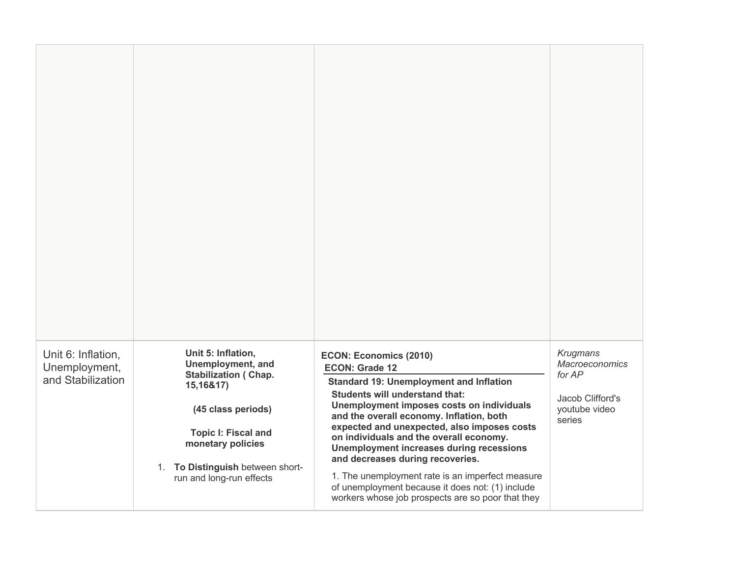| Unit 6: Inflation,<br>Unemployment,<br>and Stabilization | Unit 5: Inflation,<br><b>Unemployment, and</b><br><b>Stabilization (Chap.</b><br>15,16&17)<br>(45 class periods)<br><b>Topic I: Fiscal and</b><br>monetary policies<br>1. To Distinguish between short-<br>run and long-run effects | <b>ECON: Economics (2010)</b><br><b>ECON: Grade 12</b><br><b>Standard 19: Unemployment and Inflation</b><br><b>Students will understand that:</b><br>Unemployment imposes costs on individuals<br>and the overall economy. Inflation, both<br>expected and unexpected, also imposes costs<br>on individuals and the overall economy.<br><b>Unemployment increases during recessions</b><br>and decreases during recoveries.<br>1. The unemployment rate is an imperfect measure<br>of unemployment because it does not: (1) include<br>workers whose job prospects are so poor that they | Krugmans<br><b>Macroeconomics</b><br>for AP<br>Jacob Clifford's<br>youtube video<br>series |
|----------------------------------------------------------|-------------------------------------------------------------------------------------------------------------------------------------------------------------------------------------------------------------------------------------|------------------------------------------------------------------------------------------------------------------------------------------------------------------------------------------------------------------------------------------------------------------------------------------------------------------------------------------------------------------------------------------------------------------------------------------------------------------------------------------------------------------------------------------------------------------------------------------|--------------------------------------------------------------------------------------------|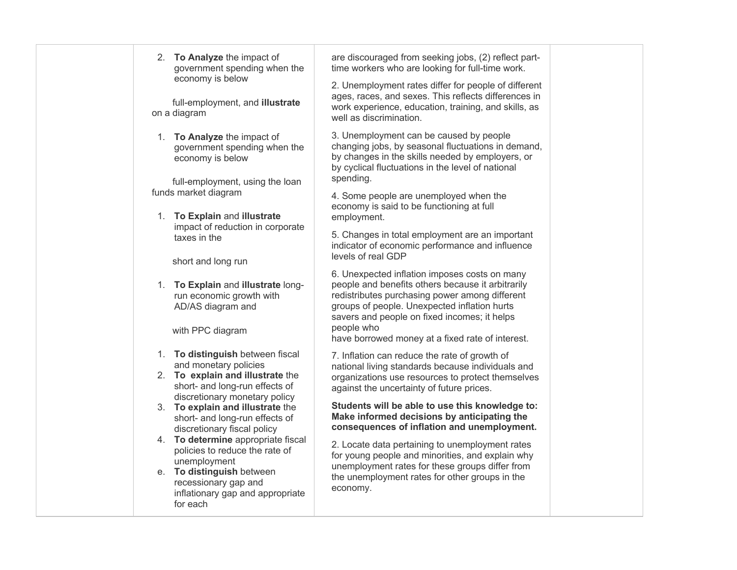| 2. To Analyze the impact of<br>government spending when the                                             | are discouraged from seeking jobs, (2) reflect part-<br>time workers who are looking for full-time work.                                                                                                                                                                                                               |  |
|---------------------------------------------------------------------------------------------------------|------------------------------------------------------------------------------------------------------------------------------------------------------------------------------------------------------------------------------------------------------------------------------------------------------------------------|--|
| economy is below<br>full-employment, and illustrate<br>on a diagram                                     | 2. Unemployment rates differ for people of different<br>ages, races, and sexes. This reflects differences in<br>work experience, education, training, and skills, as<br>well as discrimination.                                                                                                                        |  |
| 1. To Analyze the impact of<br>government spending when the<br>economy is below                         | 3. Unemployment can be caused by people<br>changing jobs, by seasonal fluctuations in demand,<br>by changes in the skills needed by employers, or<br>by cyclical fluctuations in the level of national<br>spending.                                                                                                    |  |
| full-employment, using the loan<br>funds market diagram<br>1. To Explain and illustrate                 | 4. Some people are unemployed when the<br>economy is said to be functioning at full<br>employment.                                                                                                                                                                                                                     |  |
| impact of reduction in corporate<br>taxes in the<br>short and long run                                  | 5. Changes in total employment are an important<br>indicator of economic performance and influence<br>levels of real GDP                                                                                                                                                                                               |  |
| 1. To Explain and illustrate long-<br>run economic growth with<br>AD/AS diagram and<br>with PPC diagram | 6. Unexpected inflation imposes costs on many<br>people and benefits others because it arbitrarily<br>redistributes purchasing power among different<br>groups of people. Unexpected inflation hurts<br>savers and people on fixed incomes; it helps<br>people who<br>have borrowed money at a fixed rate of interest. |  |
| 1. To distinguish between fiscal<br>and monetary policies                                               | 7. Inflation can reduce the rate of growth of<br>national living standards because individuals and                                                                                                                                                                                                                     |  |
| 2. To explain and illustrate the<br>short- and long-run effects of<br>discretionary monetary policy     | organizations use resources to protect themselves<br>against the uncertainty of future prices.                                                                                                                                                                                                                         |  |
| 3. To explain and illustrate the<br>short- and long-run effects of<br>discretionary fiscal policy       | Students will be able to use this knowledge to:<br>Make informed decisions by anticipating the<br>consequences of inflation and unemployment.                                                                                                                                                                          |  |
| 4. To determine appropriate fiscal                                                                      | 2 Locato data portaining to unamployment rates                                                                                                                                                                                                                                                                         |  |

policies to reduce the rate of

inflationary gap and appropriate

unemployment e. **To distinguish** between recessionary gap and

for each

 unemployment rates for these groups differ from 2. Locate data pertaining to unemployment rates for young people and minorities, and explain why the unemployment rates for other groups in the economy.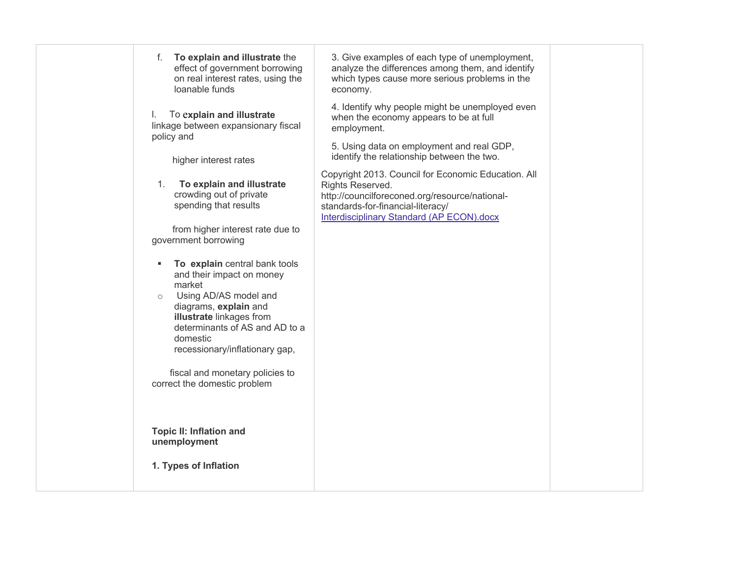| To explain and illustrate the<br>f.<br>effect of government borrowing<br>on real interest rates, using the<br>loanable funds                                                                                                                  | 3. Give examples of each type of unemployment,<br>analyze the differences among them, and identify<br>which types cause more serious problems in the<br>economy.                                                   |  |
|-----------------------------------------------------------------------------------------------------------------------------------------------------------------------------------------------------------------------------------------------|--------------------------------------------------------------------------------------------------------------------------------------------------------------------------------------------------------------------|--|
| To explain and illustrate<br>I.<br>linkage between expansionary fiscal<br>policy and                                                                                                                                                          | 4. Identify why people might be unemployed even<br>when the economy appears to be at full<br>employment.                                                                                                           |  |
| higher interest rates                                                                                                                                                                                                                         | 5. Using data on employment and real GDP,<br>identify the relationship between the two.                                                                                                                            |  |
| To explain and illustrate<br>1.<br>crowding out of private<br>spending that results<br>from higher interest rate due to                                                                                                                       | Copyright 2013. Council for Economic Education. All<br>Rights Reserved.<br>http://councilforeconed.org/resource/national-<br>standards-for-financial-literacy/<br><b>Interdisciplinary Standard (AP ECON).docx</b> |  |
| government borrowing                                                                                                                                                                                                                          |                                                                                                                                                                                                                    |  |
| To explain central bank tools<br>and their impact on money<br>market<br>Using AD/AS model and<br>$\circ$<br>diagrams, explain and<br>illustrate linkages from<br>determinants of AS and AD to a<br>domestic<br>recessionary/inflationary gap, |                                                                                                                                                                                                                    |  |
| fiscal and monetary policies to<br>correct the domestic problem                                                                                                                                                                               |                                                                                                                                                                                                                    |  |
| <b>Topic II: Inflation and</b><br>unemployment<br>1. Types of Inflation                                                                                                                                                                       |                                                                                                                                                                                                                    |  |
|                                                                                                                                                                                                                                               |                                                                                                                                                                                                                    |  |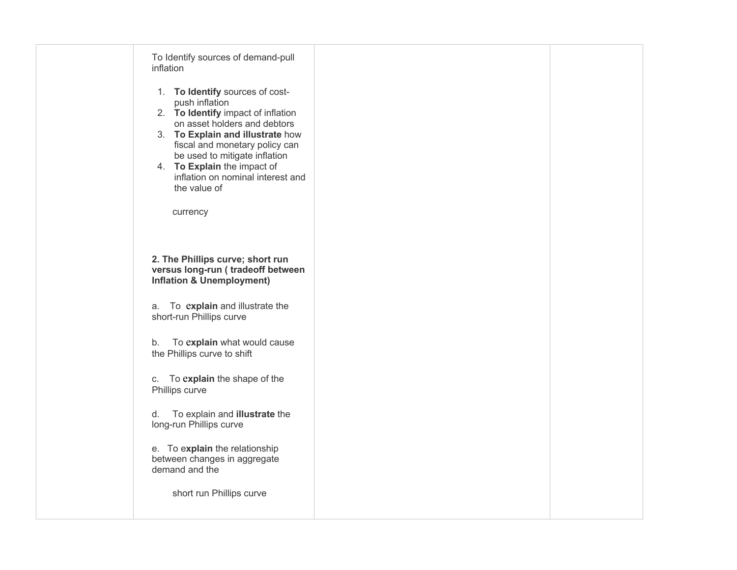| To Identify sources of demand-pull<br>inflation                                                                                                                                                                                                                                                                                |  |
|--------------------------------------------------------------------------------------------------------------------------------------------------------------------------------------------------------------------------------------------------------------------------------------------------------------------------------|--|
| 1. To Identify sources of cost-<br>push inflation<br>2. To Identify impact of inflation<br>on asset holders and debtors<br>3. To Explain and illustrate how<br>fiscal and monetary policy can<br>be used to mitigate inflation<br>4. To Explain the impact of<br>inflation on nominal interest and<br>the value of<br>currency |  |
| 2. The Phillips curve; short run<br>versus long-run (tradeoff between<br><b>Inflation &amp; Unemployment)</b>                                                                                                                                                                                                                  |  |
| a. To explain and illustrate the<br>short-run Phillips curve                                                                                                                                                                                                                                                                   |  |
| To explain what would cause<br>b.<br>the Phillips curve to shift                                                                                                                                                                                                                                                               |  |
| c. To explain the shape of the<br>Phillips curve                                                                                                                                                                                                                                                                               |  |
| To explain and illustrate the<br>d.<br>long-run Phillips curve                                                                                                                                                                                                                                                                 |  |
| e. To explain the relationship<br>between changes in aggregate<br>demand and the                                                                                                                                                                                                                                               |  |
| short run Phillips curve                                                                                                                                                                                                                                                                                                       |  |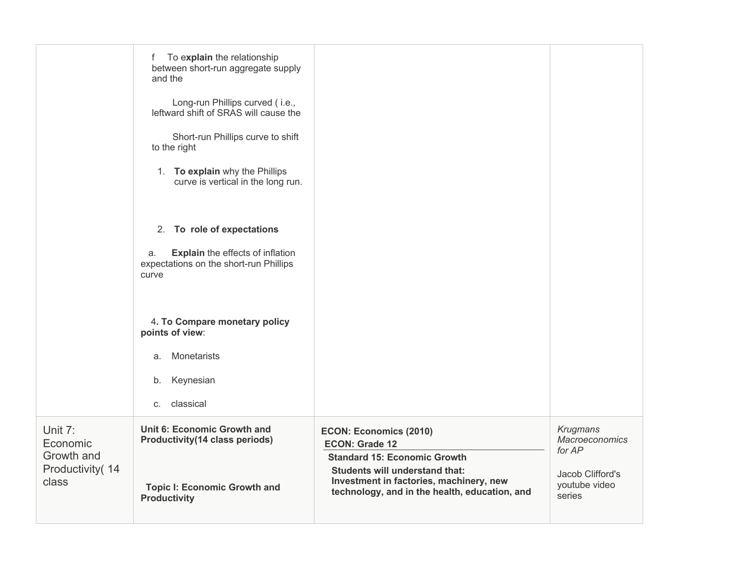|                                                                | To explain the relationship<br>f<br>between short-run aggregate supply<br>and the<br>Long-run Phillips curved (i.e.,<br>leftward shift of SRAS will cause the<br>Short-run Phillips curve to shift<br>to the right<br>1. To explain why the Phillips<br>curve is vertical in the long run. |                                                                                                                                                                                                                                    |                                                                                            |
|----------------------------------------------------------------|--------------------------------------------------------------------------------------------------------------------------------------------------------------------------------------------------------------------------------------------------------------------------------------------|------------------------------------------------------------------------------------------------------------------------------------------------------------------------------------------------------------------------------------|--------------------------------------------------------------------------------------------|
|                                                                | 2. To role of expectations<br><b>Explain</b> the effects of inflation<br>a.<br>expectations on the short-run Phillips<br>curve                                                                                                                                                             |                                                                                                                                                                                                                                    |                                                                                            |
|                                                                | 4. To Compare monetary policy<br>points of view:<br>Monetarists<br>a.<br>b. Keynesian<br>c. classical                                                                                                                                                                                      |                                                                                                                                                                                                                                    |                                                                                            |
| Unit 7:<br>Economic<br>Growth and<br>Productivity (14<br>class | Unit 6: Economic Growth and<br><b>Productivity(14 class periods)</b><br><b>Topic I: Economic Growth and</b><br><b>Productivity</b>                                                                                                                                                         | <b>ECON: Economics (2010)</b><br><b>ECON: Grade 12</b><br><b>Standard 15: Economic Growth</b><br><b>Students will understand that:</b><br>Investment in factories, machinery, new<br>technology, and in the health, education, and | Krugmans<br><b>Macroeconomics</b><br>for AP<br>Jacob Clifford's<br>youtube video<br>series |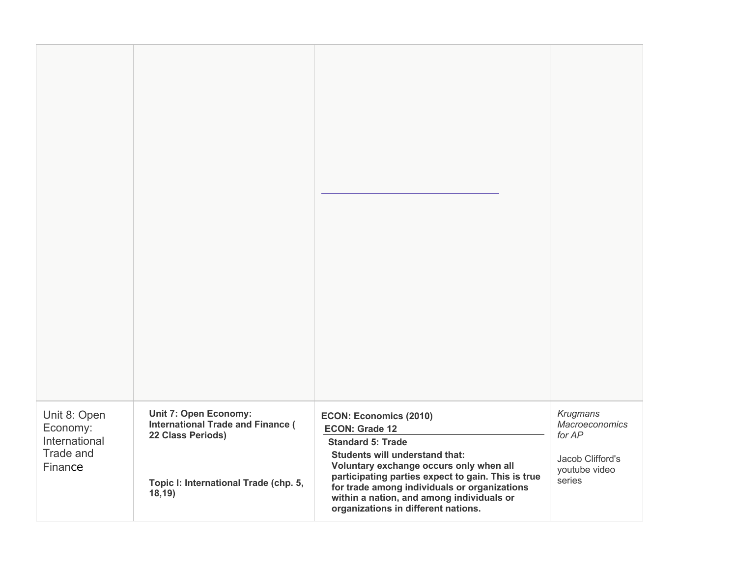| Unit 8: Open<br>Economy:<br>International | <b>Unit 7: Open Economy:</b><br><b>International Trade and Finance (</b><br>22 Class Periods) | <b>ECON: Economics (2010)</b><br><b>ECON: Grade 12</b><br><b>Standard 5: Trade</b>                                                                                                                                                                                         | Krugmans<br><b>Macroeconomics</b><br>for AP |
|-------------------------------------------|-----------------------------------------------------------------------------------------------|----------------------------------------------------------------------------------------------------------------------------------------------------------------------------------------------------------------------------------------------------------------------------|---------------------------------------------|
| Trade and<br>Finance                      | Topic I: International Trade (chp. 5,<br>18,19)                                               | <b>Students will understand that:</b><br>Voluntary exchange occurs only when all<br>participating parties expect to gain. This is true<br>for trade among individuals or organizations<br>within a nation, and among individuals or<br>organizations in different nations. | Jacob Clifford's<br>youtube video<br>series |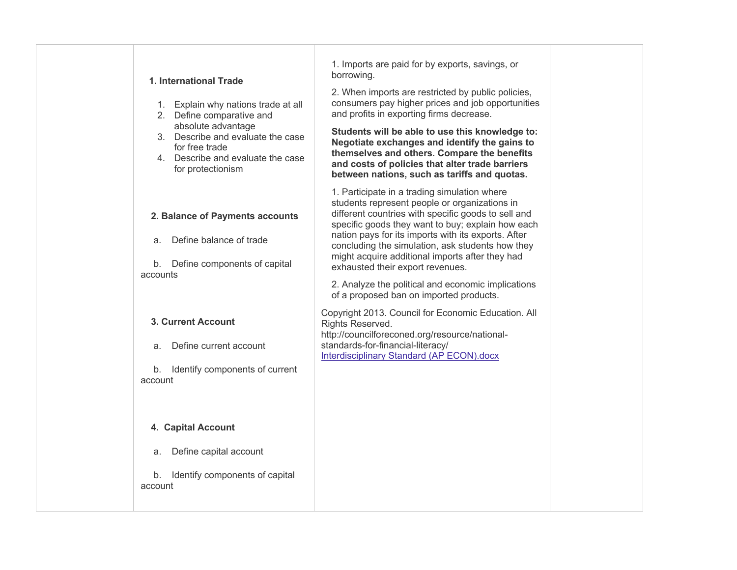| 1. Imports are paid for by exports, savings, or<br>borrowing.<br>1. International Trade<br>2. When imports are restricted by public policies,<br>consumers pay higher prices and job opportunities<br>1. Explain why nations trade at all<br>and profits in exporting firms decrease.<br>2. Define comparative and<br>absolute advantage<br>Students will be able to use this knowledge to:<br>3. Describe and evaluate the case<br>Negotiate exchanges and identify the gains to<br>for free trade<br>themselves and others. Compare the benefits<br>4. Describe and evaluate the case<br>and costs of policies that alter trade barriers<br>for protectionism<br>between nations, such as tariffs and quotas.<br>1. Participate in a trading simulation where<br>students represent people or organizations in<br>different countries with specific goods to sell and<br>2. Balance of Payments accounts<br>specific goods they want to buy; explain how each<br>nation pays for its imports with its exports. After<br>Define balance of trade<br>a.<br>concluding the simulation, ask students how they<br>might acquire additional imports after they had<br>Define components of capital<br>b.<br>exhausted their export revenues.<br>accounts<br>2. Analyze the political and economic implications<br>of a proposed ban on imported products.<br>Copyright 2013. Council for Economic Education. All<br>3. Current Account<br>Rights Reserved.<br>http://councilforeconed.org/resource/national-<br>standards-for-financial-literacy/<br>Define current account<br>a.<br><b>Interdisciplinary Standard (AP ECON).docx</b><br>Identify components of current<br>b.<br>account<br>4. Capital Account<br>Define capital account<br>a.<br>Identify components of capital<br>b.<br>account |  |
|-----------------------------------------------------------------------------------------------------------------------------------------------------------------------------------------------------------------------------------------------------------------------------------------------------------------------------------------------------------------------------------------------------------------------------------------------------------------------------------------------------------------------------------------------------------------------------------------------------------------------------------------------------------------------------------------------------------------------------------------------------------------------------------------------------------------------------------------------------------------------------------------------------------------------------------------------------------------------------------------------------------------------------------------------------------------------------------------------------------------------------------------------------------------------------------------------------------------------------------------------------------------------------------------------------------------------------------------------------------------------------------------------------------------------------------------------------------------------------------------------------------------------------------------------------------------------------------------------------------------------------------------------------------------------------------------------------------------------------------------------------------------------------------------------|--|
|                                                                                                                                                                                                                                                                                                                                                                                                                                                                                                                                                                                                                                                                                                                                                                                                                                                                                                                                                                                                                                                                                                                                                                                                                                                                                                                                                                                                                                                                                                                                                                                                                                                                                                                                                                                               |  |
|                                                                                                                                                                                                                                                                                                                                                                                                                                                                                                                                                                                                                                                                                                                                                                                                                                                                                                                                                                                                                                                                                                                                                                                                                                                                                                                                                                                                                                                                                                                                                                                                                                                                                                                                                                                               |  |
|                                                                                                                                                                                                                                                                                                                                                                                                                                                                                                                                                                                                                                                                                                                                                                                                                                                                                                                                                                                                                                                                                                                                                                                                                                                                                                                                                                                                                                                                                                                                                                                                                                                                                                                                                                                               |  |
|                                                                                                                                                                                                                                                                                                                                                                                                                                                                                                                                                                                                                                                                                                                                                                                                                                                                                                                                                                                                                                                                                                                                                                                                                                                                                                                                                                                                                                                                                                                                                                                                                                                                                                                                                                                               |  |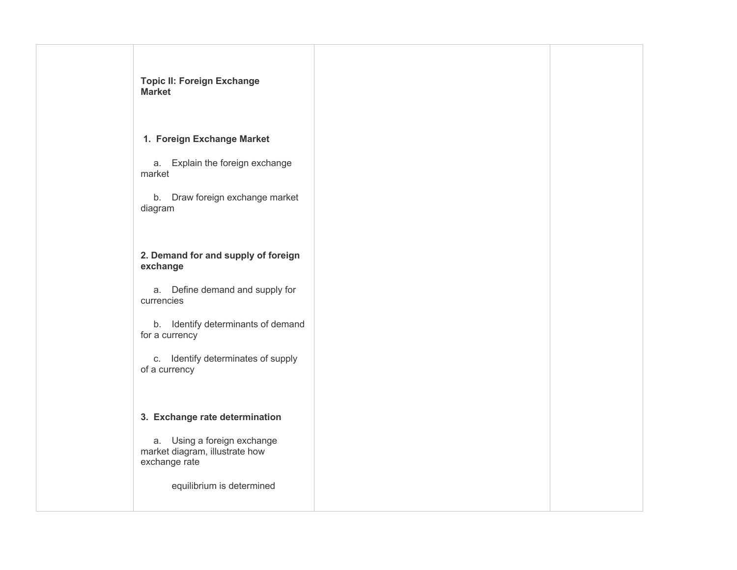| <b>Topic II: Foreign Exchange</b><br><b>Market</b>                             |  |
|--------------------------------------------------------------------------------|--|
| 1. Foreign Exchange Market                                                     |  |
| a. Explain the foreign exchange<br>market                                      |  |
| b. Draw foreign exchange market<br>diagram                                     |  |
| 2. Demand for and supply of foreign<br>exchange                                |  |
| a. Define demand and supply for<br>currencies                                  |  |
| b. Identify determinants of demand<br>for a currency                           |  |
| c. Identify determinates of supply<br>of a currency                            |  |
| 3. Exchange rate determination                                                 |  |
| a. Using a foreign exchange<br>market diagram, illustrate how<br>exchange rate |  |
| equilibrium is determined                                                      |  |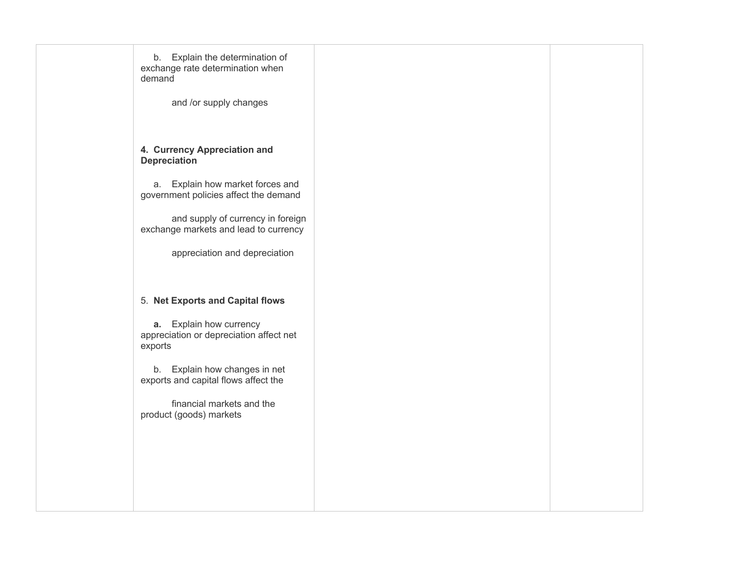| b. Explain the determination of<br>exchange rate determination when<br>demand |  |
|-------------------------------------------------------------------------------|--|
| and /or supply changes                                                        |  |
| 4. Currency Appreciation and<br><b>Depreciation</b>                           |  |
| Explain how market forces and<br>a.<br>government policies affect the demand  |  |
| and supply of currency in foreign<br>exchange markets and lead to currency    |  |
| appreciation and depreciation                                                 |  |
| 5. Net Exports and Capital flows                                              |  |
| a. Explain how currency<br>appreciation or depreciation affect net<br>exports |  |
| b. Explain how changes in net<br>exports and capital flows affect the         |  |
| financial markets and the<br>product (goods) markets                          |  |
|                                                                               |  |
|                                                                               |  |
|                                                                               |  |